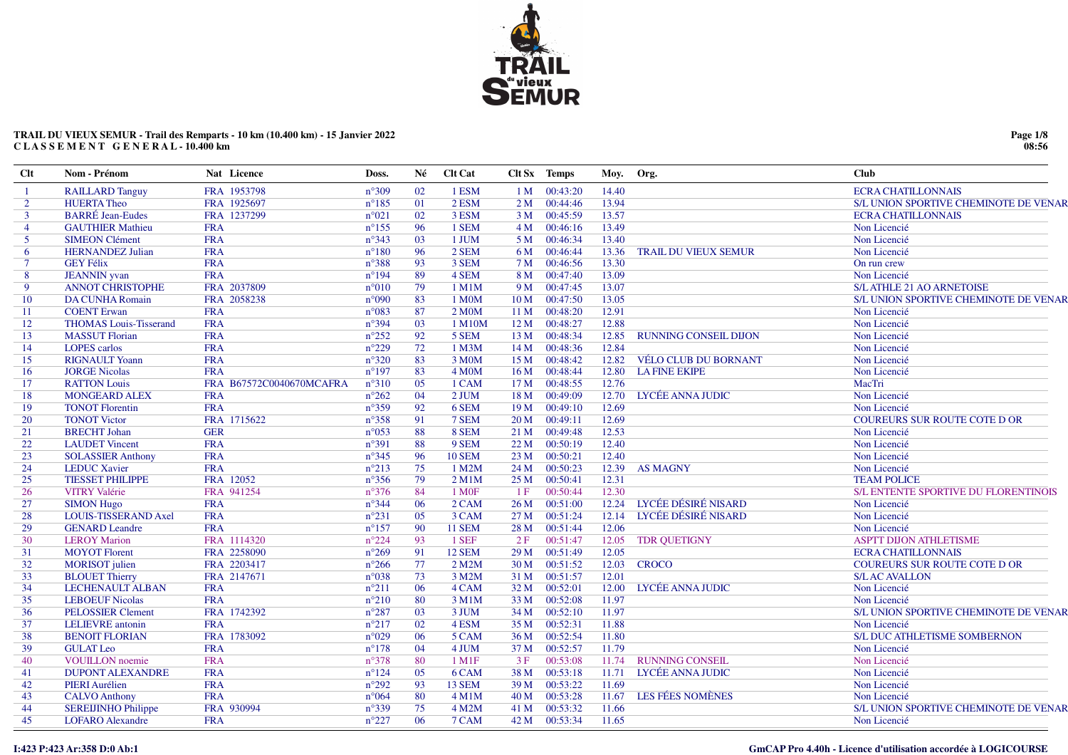

# TRAIL DU VIEUX SEMUR - Trail des Remparts - 10 km (10.400 km) - 15 Janvier 2022 CLASSEMENT GENERAL-10.400 km

| $Cl$ t         | Nom - Prénom                  | Nat Licence              | Doss.          | Né | <b>Clt Cat</b>    |                 | Clt Sx Temps  | Moy.  | Org.                         | <b>Club</b>                           |
|----------------|-------------------------------|--------------------------|----------------|----|-------------------|-----------------|---------------|-------|------------------------------|---------------------------------------|
|                | <b>RAILLARD Tanguy</b>        | FRA 1953798              | $n^{\circ}309$ | 02 | 1 ESM             | 1 <sub>M</sub>  | 00:43:20      | 14.40 |                              | <b>ECRA CHATILLONNAIS</b>             |
| $\overline{2}$ | <b>HUERTA Theo</b>            | FRA 1925697              | $n^{\circ}185$ | 01 | 2 ESM             |                 | 2 M 00:44:46  | 13.94 |                              | S/L UNION SPORTIVE CHEMINOTE DE VENAR |
| $\mathbf{3}$   | <b>BARRÉ</b> Jean-Eudes       | FRA 1237299              | $n^{\circ}021$ | 02 | 3 ESM             | 3 <sub>M</sub>  | 00:45:59      | 13.57 |                              | <b>ECRA CHATILLONNAIS</b>             |
| $\overline{4}$ | <b>GAUTHIER Mathieu</b>       | <b>FRA</b>               | $n^{\circ}155$ | 96 | 1 SEM             |                 | 4 M 00:46:16  | 13.49 |                              | Non Licencié                          |
| 5 <sup>5</sup> | <b>SIMEON Clément</b>         | <b>FRA</b>               | $n^{\circ}343$ | 03 | 1 JUM             | 5 M             | 00:46:34      | 13.40 |                              | Non Licencié                          |
| 6              | <b>HERNANDEZ Julian</b>       | <b>FRA</b>               | $n^{\circ}180$ | 96 | 2 SEM             | 6 M             | 00:46:44      | 13.36 | <b>TRAIL DU VIEUX SEMUR</b>  | Non Licencié                          |
| $\tau$         | <b>GEY Félix</b>              | <b>FRA</b>               | $n^{\circ}388$ | 93 | 3 SEM             | 7 M             | 00:46:56      | 13.30 |                              | On run crew                           |
| 8              | <b>JEANNIN</b> yvan           | <b>FRA</b>               | $n^{\circ}194$ | 89 | 4 SEM             | 8 M             | 00:47:40      | 13.09 |                              | Non Licencié                          |
| 9              | <b>ANNOT CHRISTOPHE</b>       | FRA 2037809              | $n^{\circ}010$ | 79 | $1$ M $1$ M       |                 | 9 M 00:47:45  | 13.07 |                              | <b>S/L ATHLE 21 AO ARNETOISE</b>      |
| 10             | <b>DA CUNHA Romain</b>        | FRA 2058238              | $n^{\circ}090$ | 83 | 1 M0M             | 10 M            | 00:47:50      | 13.05 |                              | S/L UNION SPORTIVE CHEMINOTE DE VENAR |
| 11             | <b>COENT Erwan</b>            | <b>FRA</b>               | $n^{\circ}083$ | 87 | 2 MOM             | 11 M            | 00:48:20      | 12.91 |                              | Non Licencié                          |
| 12             | <b>THOMAS Louis-Tisserand</b> | <b>FRA</b>               | $n^{\circ}394$ | 03 | 1 M10M            | 12M             | 00:48:27      | 12.88 |                              | Non Licencié                          |
| 13             | <b>MASSUT</b> Florian         | <b>FRA</b>               | $n^{\circ}252$ | 92 | 5 SEM             | 13 M            | 00:48:34      | 12.85 | <b>RUNNING CONSEIL DIJON</b> | Non Licencié                          |
| 14             | <b>LOPES</b> carlos           | <b>FRA</b>               | $n^{\circ}229$ | 72 | 1 M3M             | 14 M            | 00:48:36      | 12.84 |                              | Non Licencié                          |
| 15             | <b>RIGNAULT Yoann</b>         | <b>FRA</b>               | $n^{\circ}320$ | 83 | 3 M0M             | 15M             | 00:48:42      |       | 12.82 VÉLO CLUB DU BORNANT   | Non Licencié                          |
| 16             | <b>JORGE Nicolas</b>          | <b>FRA</b>               | $n^{\circ}197$ | 83 | <b>4 M0M</b>      | 16 <sub>M</sub> | 00:48:44      |       | 12.80 LA FINE EKIPE          | Non Licencié                          |
| 17             | <b>RATTON Louis</b>           | FRA B67572C0040670MCAFRA | $n^{\circ}310$ | 05 | 1 CAM             | 17 <sub>M</sub> | 00:48:55      | 12.76 |                              | MacTri                                |
| 18             | <b>MONGEARD ALEX</b>          | <b>FRA</b>               | $n^{\circ}262$ | 04 | $2$ JUM           | 18 M            | 00:49:09      |       | 12.70 LYCÉE ANNA JUDIC       | Non Licencié                          |
| 19             | <b>TONOT Florentin</b>        | <b>FRA</b>               | $n^{\circ}359$ | 92 | 6 SEM             | 19 <sub>M</sub> | 00:49:10      | 12.69 |                              | Non Licencié                          |
| 20             | <b>TONOT Victor</b>           | FRA 1715622              | $n^{\circ}358$ | 91 | 7 SEM             | 20 <sub>M</sub> | 00:49:11      | 12.69 |                              | <b>COUREURS SUR ROUTE COTE D OR</b>   |
| 21             | <b>BRECHT</b> Johan           | <b>GER</b>               | $n^{\circ}053$ | 88 | 8 SEM             | 21 M            | 00:49:48      | 12.53 |                              | Non Licencié                          |
| 22             | <b>LAUDET</b> Vincent         | <b>FRA</b>               | $n^{\circ}391$ | 88 | 9 SEM             | 22 M            | 00:50:19      | 12.40 |                              | Non Licencié                          |
| 23             | <b>SOLASSIER Anthony</b>      | <b>FRA</b>               | $n^{\circ}345$ | 96 | <b>10 SEM</b>     | 23M             | 00:50:21      | 12.40 |                              | Non Licencié                          |
| 24             | <b>LEDUC</b> Xavier           | <b>FRA</b>               | $n^{\circ}213$ | 75 | 1 M2M             | 24 M            | 00:50:23      | 12.39 | <b>AS MAGNY</b>              | Non Licencié                          |
| 25             | <b>TIESSET PHILIPPE</b>       | FRA 12052                | $n^{\circ}356$ | 79 | $2$ M1M           | 25 M            | 00:50:41      | 12.31 |                              | <b>TEAM POLICE</b>                    |
| 26             | <b>VITRY Valérie</b>          | FRA 941254               | $n^{\circ}376$ | 84 | 1 M <sub>OF</sub> | 1F              | 00:50:44      | 12.30 |                              | S/L ENTENTE SPORTIVE DU FLORENTINOIS  |
| 27             | <b>SIMON Hugo</b>             | <b>FRA</b>               | $n^{\circ}344$ | 06 | 2 CAM             | 26 M            | 00:51:00      |       | 12.24 LYCÉE DÉSIRÉ NISARD    | Non Licencié                          |
| 28             | LOUIS-TISSERAND Axel          | <b>FRA</b>               | $n^{\circ}231$ | 05 | 3 CAM             | 27 M            | 00:51:24      |       | 12.14 LYCÉE DÉSIRÉ NISARD    | Non Licencié                          |
| 29             | <b>GENARD Leandre</b>         | <b>FRA</b>               | $n^{\circ}157$ | 90 | <b>11 SEM</b>     | 28 M            | 00:51:44      | 12.06 |                              | Non Licencié                          |
| 30             | <b>LEROY Marion</b>           | FRA 1114320              | $n^{\circ}224$ | 93 | 1 SEF             | 2F              | 00:51:47      | 12.05 | <b>TDR QUETIGNY</b>          | <b>ASPTT DIJON ATHLETISME</b>         |
| 31             | <b>MOYOT</b> Florent          | FRA 2258090              | $n^{\circ}269$ | 91 | <b>12 SEM</b>     | 29 M            | 00:51:49      | 12.05 |                              | <b>ECRA CHATILLONNAIS</b>             |
| 32             | <b>MORISOT</b> julien         | FRA 2203417              | $n^{\circ}266$ | 77 | 2 M2M             | 30 M            | 00:51:52      | 12.03 | <b>CROCO</b>                 | <b>COUREURS SUR ROUTE COTE D OR</b>   |
| 33             | <b>BLOUET Thierry</b>         | FRA 2147671              | $n^{\circ}038$ | 73 | 3 M2M             | 31 M            | 00:51:57      | 12.01 |                              | <b>S/L AC AVALLON</b>                 |
| 34             | LECHENAULT ALBAN              | <b>FRA</b>               | $n^{\circ}211$ | 06 | 4 CAM             | 32 M            | 00:52:01      |       | 12.00 LYCÉE ANNA JUDIC       | Non Licencié                          |
| 35             | <b>LEBOEUF Nicolas</b>        | <b>FRA</b>               | $n^{\circ}210$ | 80 | 3 M1M             | 33 M            | 00:52:08      | 11.97 |                              | Non Licencié                          |
| 36             | <b>PELOSSIER Clement</b>      | FRA 1742392              | $n^{\circ}287$ | 03 | 3 JUM             | 34 M            | 00:52:10      | 11.97 |                              | S/L UNION SPORTIVE CHEMINOTE DE VENAR |
| 37             | <b>LELIEVRE</b> antonin       | <b>FRA</b>               | $n^{\circ}217$ | 02 | 4 ESM             |                 | 35 M 00:52:31 | 11.88 |                              | Non Licencié                          |
| 38             | <b>BENOIT FLORIAN</b>         | FRA 1783092              | $n^{\circ}029$ | 06 | 5 CAM             | 36 M            | 00:52:54      | 11.80 |                              | S/L DUC ATHLETISME SOMBERNON          |
| 39             | <b>GULAT Leo</b>              | <b>FRA</b>               | $n^{\circ}178$ | 04 | 4 JUM             | 37 M            | 00:52:57      | 11.79 |                              | Non Licencié                          |
| 40             | <b>VOUILLON</b> noemie        | <b>FRA</b>               | $n^{\circ}378$ | 80 | $1$ M $1$ F       | 3F              | 00:53:08      | 11.74 | <b>RUNNING CONSEIL</b>       | Non Licencié                          |
| 41             | <b>DUPONT ALEXANDRE</b>       | <b>FRA</b>               | $n^{\circ}124$ | 05 | 6 CAM             | 38 M            | 00:53:18      |       | 11.71 LYCÉE ANNA JUDIC       | Non Licencié                          |
| 42             | PIERI Aurélien                | <b>FRA</b>               | $n^{\circ}292$ | 93 | <b>13 SEM</b>     | 39 M            | 00:53:22      | 11.69 |                              | Non Licencié                          |
| 43             | <b>CALVO</b> Anthony          | <b>FRA</b>               | $n^{\circ}064$ | 80 | 4 M1M             | 40 M            | 00:53:28      |       | 11.67 LES FÉES NOMÈNES       | Non Licencié                          |
| 44             | <b>SEREIJINHO Philippe</b>    | FRA 930994               | $n^{\circ}339$ | 75 | 4 M2M             | 41 M            | 00:53:32      | 11.66 |                              | S/L UNION SPORTIVE CHEMINOTE DE VENAR |
| 45             | <b>LOFARO</b> Alexandre       | <b>FRA</b>               | $n^{\circ}227$ | 06 | 7 CAM             |                 | 42 M 00:53:34 | 11.65 |                              | Non Licencié                          |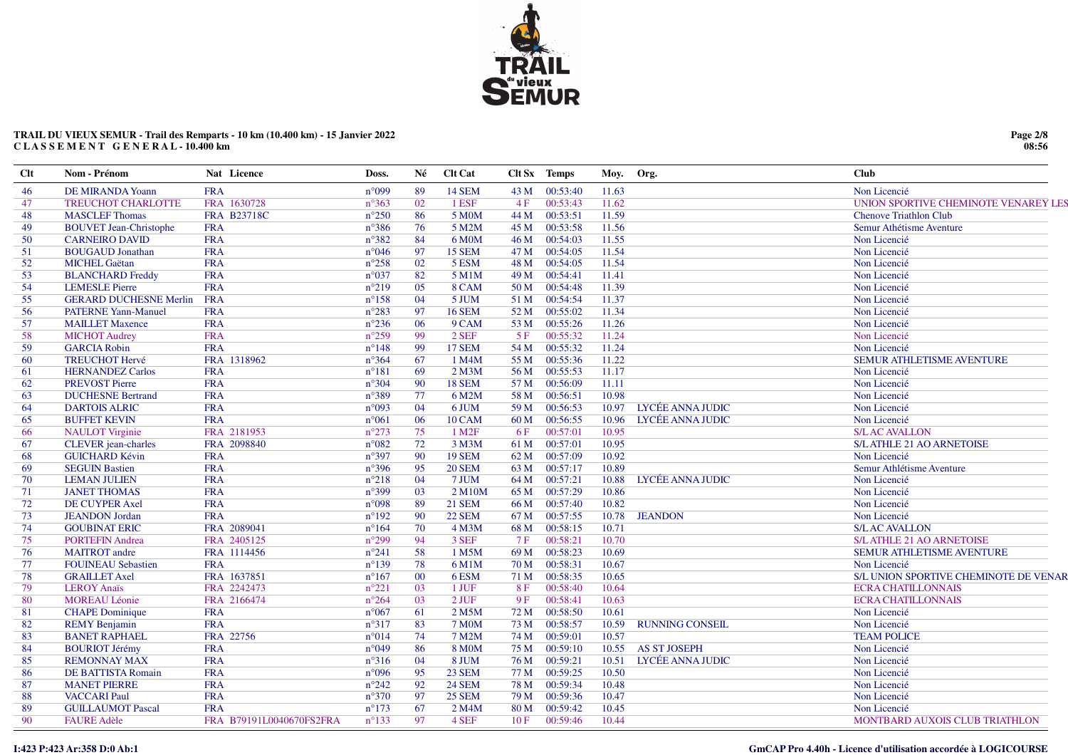

### **TRAIL DU VIEUX SEMUR - Trail des Remparts - 10 km (10.400 km) - 15 Janvier 2022 C L A S S E M E N T G E N E R A L - 10.400 km**

| <b>Clt</b> | Nom - Prénom                  | Nat Licence              | Doss.          | Né     | <b>Clt Cat</b>         |      | Clt Sx Temps | Moy.  | Org.                   | Club                                  |
|------------|-------------------------------|--------------------------|----------------|--------|------------------------|------|--------------|-------|------------------------|---------------------------------------|
| 46         | <b>DE MIRANDA Yoann</b>       | <b>FRA</b>               | $n^{\circ}099$ | 89     | <b>14 SEM</b>          | 43 M | 00:53:40     | 11.63 |                        | Non Licencié                          |
| 47         | <b>TREUCHOT CHARLOTTE</b>     | FRA 1630728              | $n^{\circ}363$ | 02     | 1 ESF                  | 4F   | 00:53:43     | 11.62 |                        | UNION SPORTIVE CHEMINOTE VENAREY LES  |
| 48         | <b>MASCLEF</b> Thomas         | <b>FRA B23718C</b>       | $n^{\circ}250$ | 86     | 5 M <sub>0</sub> M     | 44 M | 00:53:51     | 11.59 |                        | <b>Chenove Triathlon Club</b>         |
| 49         | <b>BOUVET Jean-Christophe</b> | <b>FRA</b>               | $n^{\circ}386$ | 76     | 5 M2M                  | 45 M | 00:53:58     | 11.56 |                        | Semur Athétisme Aventure              |
| 50         | <b>CARNEIRO DAVID</b>         | <b>FRA</b>               | $n^{\circ}382$ | 84     | 6 M0M                  | 46 M | 00:54:03     | 11.55 |                        | Non Licencié                          |
| 51         | <b>BOUGAUD</b> Jonathan       | <b>FRA</b>               | $n^{\circ}046$ | 97     | 15 SEM                 | 47 M | 00:54:05     | 11.54 |                        | Non Licencié                          |
| 52         | <b>MICHEL Gaëtan</b>          | <b>FRA</b>               | $n^{\circ}258$ | 02     | 5 ESM                  | 48 M | 00:54:05     | 11.54 |                        | Non Licencié                          |
| 53         | <b>BLANCHARD Freddy</b>       | <b>FRA</b>               | $n^{\circ}037$ | 82     | $5$ M1M                | 49 M | 00:54:41     | 11.41 |                        | Non Licencié                          |
| 54         | <b>LEMESLE Pierre</b>         | <b>FRA</b>               | $n^{\circ}219$ | 05     | 8 CAM                  | 50 M | 00:54:48     | 11.39 |                        | Non Licencié                          |
| 55         | <b>GERARD DUCHESNE Merlin</b> | <b>FRA</b>               | $n^{\circ}158$ | 04     | 5 JUM                  | 51 M | 00:54:54     | 11.37 |                        | Non Licencié                          |
| 56         | <b>PATERNE Yann-Manuel</b>    | <b>FRA</b>               | $n^{\circ}283$ | 97     | <b>16 SEM</b>          | 52 M | 00:55:02     | 11.34 |                        | Non Licencié                          |
| 57         | <b>MAILLET Maxence</b>        | <b>FRA</b>               | $n^{\circ}236$ | 06     | 9 CAM                  | 53 M | 00:55:26     | 11.26 |                        | Non Licencié                          |
| 58         | <b>MICHOT</b> Audrey          | <b>FRA</b>               | $n^{\circ}259$ | 99     | $2$ SEF                | 5F   | 00:55:32     | 11.24 |                        | Non Licencié                          |
| 59         | <b>GARCIA Robin</b>           | <b>FRA</b>               | $n^{\circ}148$ | 99     | <b>17 SEM</b>          | 54 M | 00:55:32     | 11.24 |                        | Non Licencié                          |
| 60         | <b>TREUCHOT Hervé</b>         | FRA 1318962              | $n^{\circ}364$ | 67     | 1 M4M                  | 55 M | 00:55:36     | 11.22 |                        | SEMUR ATHLETISME AVENTURE             |
| 61         | <b>HERNANDEZ Carlos</b>       | <b>FRA</b>               | $n^{\circ}181$ | 69     | $2$ M $3$ M            | 56 M | 00:55:53     | 11.17 |                        | Non Licencié                          |
| 62         | <b>PREVOST Pierre</b>         | <b>FRA</b>               | $n^{\circ}304$ | 90     | <b>18 SEM</b>          | 57 M | 00:56:09     | 11.11 |                        | Non Licencié                          |
| 63         | <b>DUCHESNE Bertrand</b>      | <b>FRA</b>               | $n^{\circ}389$ | 77     | 6 M2M                  | 58 M | 00:56:51     | 10.98 |                        | Non Licencié                          |
| 64         | <b>DARTOIS ALRIC</b>          | <b>FRA</b>               | n°093          | 04     | 6 JUM                  | 59 M | 00:56:53     | 10.97 | LYCÉE ANNA JUDIC       | Non Licencié                          |
| 65         | <b>BUFFET KEVIN</b>           | <b>FRA</b>               | $n^{\circ}061$ | 06     | <b>10 CAM</b>          | 60 M | 00:56:55     | 10.96 | LYCÉE ANNA JUDIC       | Non Licencié                          |
| 66         | <b>NAULOT</b> Virginie        | FRA 2181953              | $n^{\circ}273$ | 75     | $1$ M <sub>2</sub> $F$ | 6 F  | 00:57:01     | 10.95 |                        | <b>S/L AC AVALLON</b>                 |
| 67         | CLEVER jean-charles           | FRA 2098840              | $n^{\circ}082$ | 72     | 3 M3M                  | 61 M | 00:57:01     | 10.95 |                        | S/L ATHLE 21 AO ARNETOISE             |
| 68         | <b>GUICHARD Kévin</b>         | <b>FRA</b>               | $n^{\circ}397$ | 90     | <b>19 SEM</b>          | 62 M | 00:57:09     | 10.92 |                        | Non Licencié                          |
| 69         | <b>SEGUIN Bastien</b>         | <b>FRA</b>               | $n^{\circ}396$ | 95     | <b>20 SEM</b>          | 63 M | 00:57:17     | 10.89 |                        | Semur Athlétisme Aventure             |
| 70         | <b>LEMAN JULIEN</b>           | <b>FRA</b>               | $n^{\circ}218$ | 04     | 7 JUM                  | 64 M | 00:57:21     | 10.88 | LYCÉE ANNA JUDIC       | Non Licencié                          |
| 71         | <b>JANET THOMAS</b>           | <b>FRA</b>               | $n^{\circ}399$ | 03     | 2 M10M                 | 65 M | 00:57:29     | 10.86 |                        | Non Licencié                          |
| 72         | DE CUYPER Axel                | <b>FRA</b>               | n°098          | 89     | <b>21 SEM</b>          | 66 M | 00:57:40     | 10.82 |                        | Non Licencié                          |
| 73         | <b>JEANDON</b> Jordan         | <b>FRA</b>               | $n^{\circ}192$ | 90     | <b>22 SEM</b>          | 67 M | 00:57:55     | 10.78 | <b>JEANDON</b>         | Non Licencié                          |
| 74         | <b>GOUBINAT ERIC</b>          | FRA 2089041              | $n^{\circ}164$ | 70     | 4 M3M                  | 68 M | 00:58:15     | 10.71 |                        | <b>S/LAC AVALLON</b>                  |
| 75         | <b>PORTEFIN Andrea</b>        | FRA 2405125              | $n^{\circ}299$ | 94     | 3 SEF                  | 7 F  | 00:58:21     | 10.70 |                        | <b>S/L ATHLE 21 AO ARNETOISE</b>      |
| 76         | <b>MAITROT</b> andre          | FRA 1114456              | $n^{\circ}241$ | 58     | 1 M5M                  | 69 M | 00:58:23     | 10.69 |                        | SEMUR ATHLETISME AVENTURE             |
| 77         | <b>FOUINEAU</b> Sebastien     | <b>FRA</b>               | $n^{\circ}139$ | 78     | 6 M1M                  | 70 M | 00:58:31     | 10.67 |                        | Non Licencié                          |
| 78         | <b>GRAILLET</b> Axel          | FRA 1637851              | $n^{\circ}167$ | $00\,$ | 6ESM                   | 71 M | 00:58:35     | 10.65 |                        | S/L UNION SPORTIVE CHEMINOTE DE VENAR |
| 79         | <b>LEROY Anaïs</b>            | FRA 2242473              | $n^{\circ}221$ | 03     | 1 JUF                  | 8F   | 00:58:40     | 10.64 |                        | <b>ECRA CHATILLONNAIS</b>             |
| 80         | <b>MOREAU Léonie</b>          | FRA 2166474              | $n^{\circ}264$ | 03     | $2$ JUF                | 9F   | 00:58:41     | 10.63 |                        | <b>ECRA CHATILLONNAIS</b>             |
| 81         | <b>CHAPE</b> Dominique        | <b>FRA</b>               | $n^{\circ}067$ | 61     | 2 M5M                  | 72 M | 00:58:50     | 10.61 |                        | Non Licencié                          |
| 82         | <b>REMY</b> Benjamin          | <b>FRA</b>               | $n^{\circ}317$ | 83     | <b>7 MOM</b>           | 73 M | 00:58:57     | 10.59 | <b>RUNNING CONSEIL</b> | Non Licencié                          |
| 83         | <b>BANET RAPHAEL</b>          | FRA 22756                | $n^{\circ}014$ | 74     | 7 M2M                  | 74 M | 00:59:01     | 10.57 |                        | <b>TEAM POLICE</b>                    |
| 84         | <b>BOURIOT Jérémy</b>         | <b>FRA</b>               | $n^{\circ}049$ | 86     | <b>8 MOM</b>           | 75 M | 00:59:10     | 10.55 | <b>AS ST JOSEPH</b>    | Non Licencié                          |
| 85         | <b>REMONNAY MAX</b>           | <b>FRA</b>               | $n^{\circ}316$ | 04     | 8 JUM                  | 76 M | 00:59:21     | 10.51 | LYCÉE ANNA JUDIC       | Non Licencié                          |
| 86         | DE BATTISTA Romain            | <b>FRA</b>               | $n^{\circ}096$ | 95     | 23 SEM                 | 77 M | 00:59:25     | 10.50 |                        | Non Licencié                          |
| 87         | <b>MANET PIERRE</b>           | <b>FRA</b>               | $n^{\circ}242$ | 92     | <b>24 SEM</b>          | 78 M | 00:59:34     | 10.48 |                        | Non Licencié                          |
| 88         | <b>VACCARI Paul</b>           | <b>FRA</b>               | $n^{\circ}370$ | 97     | <b>25 SEM</b>          | 79 M | 00:59:36     | 10.47 |                        | Non Licencié                          |
| 89         | <b>GUILLAUMOT Pascal</b>      | <b>FRA</b>               | $n^{\circ}173$ | 67     | 2 M4M                  | 80 M | 00:59:42     | 10.45 |                        | Non Licencié                          |
| 90         | <b>FAURE Adèle</b>            | FRA B79191L0040670FS2FRA | $n^{\circ}133$ | 97     | 4 SEF                  | 10F  | 00:59:46     | 10.44 |                        | MONTBARD AUXOIS CLUB TRIATHLON        |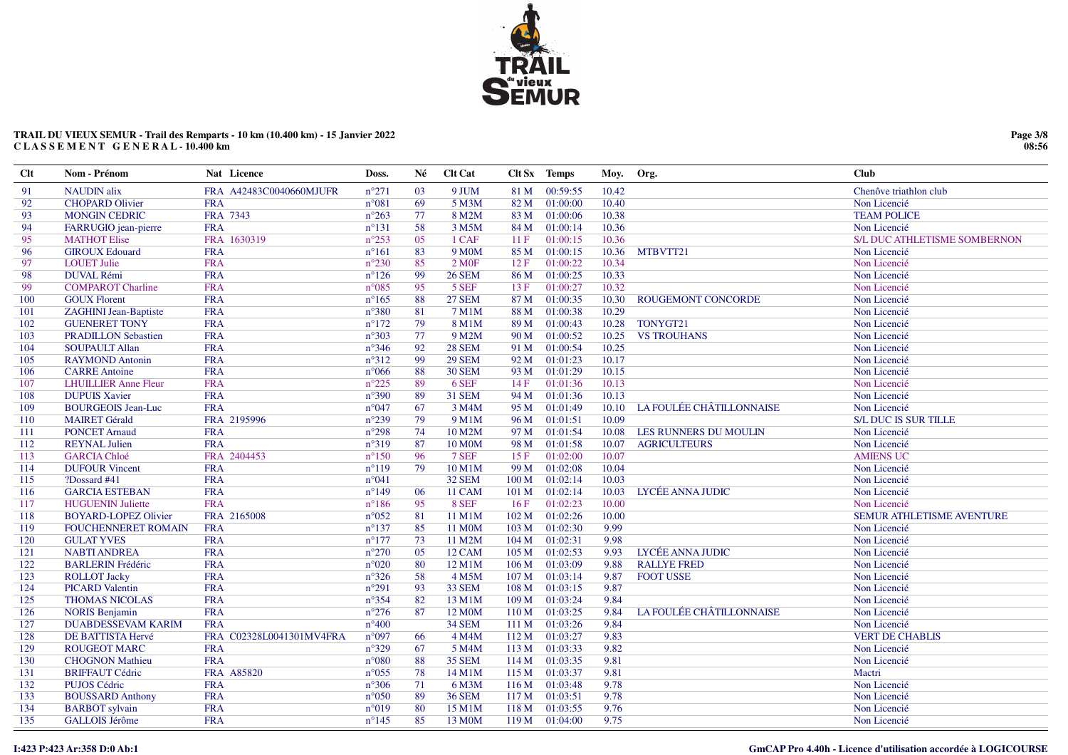

# TRAIL DU VIEUX SEMUR - Trail des Remparts - 10 km (10.400 km) - 15 Janvier 2022 CLASSEMENT GENERAL-10.400 km

| $Cl$ t | Nom - Prénom                 | Nat Licence              | Doss.          | Né | Clt Cat             |                  | Clt Sx Temps                | Moy.  | Org.                      | <b>Club</b>                  |
|--------|------------------------------|--------------------------|----------------|----|---------------------|------------------|-----------------------------|-------|---------------------------|------------------------------|
| 91     | <b>NAUDIN</b> alix           | FRA A42483C0040660MJUFR  | $n^{\circ}271$ | 03 | 9 JUM               | 81 M             | 00:59:55                    | 10.42 |                           | Chenôve triathlon club       |
| 92     | <b>CHOPARD Olivier</b>       | <b>FRA</b>               | $n^{\circ}081$ | 69 | 5 M3M               | 82 M             | 01:00:00                    | 10.40 |                           | Non Licencié                 |
| 93     | <b>MONGIN CEDRIC</b>         | FRA 7343                 | $n^{\circ}263$ | 77 | 8 M2M               | 83 M             | 01:00:06                    | 10.38 |                           | <b>TEAM POLICE</b>           |
| 94     | FARRUGIO jean-pierre         | <b>FRA</b>               | $n^{\circ}131$ | 58 | 3 M5M               |                  | 84 M 01:00:14               | 10.36 |                           | Non Licencié                 |
| 95     | <b>MATHOT Elise</b>          | FRA 1630319              | $n^{\circ}253$ | 05 | 1 CAF               | 11F              | 01:00:15                    | 10.36 |                           | S/L DUC ATHLETISME SOMBERNON |
| 96     | <b>GIROUX Edouard</b>        | <b>FRA</b>               | $n^{\circ}161$ | 83 | 9 M <sub>0</sub> M  | 85 M             | 01:00:15                    | 10.36 | MTBVTT21                  | Non Licencié                 |
| 97     | <b>LOUET Julie</b>           | <b>FRA</b>               | $n^{\circ}230$ | 85 | 2 M0F               | 12 F             | 01:00:22                    | 10.34 |                           | Non Licencié                 |
| 98     | <b>DUVAL Rémi</b>            | <b>FRA</b>               | $n^{\circ}126$ | 99 | <b>26 SEM</b>       | 86 M             | 01:00:25                    | 10.33 |                           | Non Licencié                 |
| 99     | <b>COMPAROT Charline</b>     | <b>FRA</b>               | $n^{\circ}085$ | 95 | 5 SEF               | 13F              | 01:00:27                    | 10.32 |                           | Non Licencié                 |
| 100    | <b>GOUX Florent</b>          | <b>FRA</b>               | $n^{\circ}165$ | 88 | <b>27 SEM</b>       |                  | 87 M 01:00:35               | 10.30 | <b>ROUGEMONT CONCORDE</b> | Non Licencié                 |
| 101    | <b>ZAGHINI Jean-Baptiste</b> | <b>FRA</b>               | $n^{\circ}380$ | 81 | 7 M1M               | 88 M             | 01:00:38                    | 10.29 |                           | Non Licencié                 |
| 102    | <b>GUENERET TONY</b>         | <b>FRA</b>               | $n^{\circ}172$ | 79 | 8 M1M               | 89 M             | 01:00:43                    | 10.28 | TONYGT21                  | Non Licencié                 |
| 103    | <b>PRADILLON Sebastien</b>   | <b>FRA</b>               | $n^{\circ}303$ | 77 | 9 M2M               | 90 M             | 01:00:52                    | 10.25 | <b>VS TROUHANS</b>        | Non Licencié                 |
| 104    | <b>SOUPAULT Allan</b>        | <b>FRA</b>               | $n^{\circ}346$ | 92 | <b>28 SEM</b>       |                  | 91 M 01:00:54               | 10.25 |                           | Non Licencié                 |
| 105    | <b>RAYMOND Antonin</b>       | <b>FRA</b>               | $n^{\circ}312$ | 99 | <b>29 SEM</b>       | 92 M             | 01:01:23                    | 10.17 |                           | Non Licencié                 |
| 106    | <b>CARRE Antoine</b>         | <b>FRA</b>               | $n^{\circ}066$ | 88 | <b>30 SEM</b>       | 93 M             | 01:01:29                    | 10.15 |                           | Non Licencié                 |
| 107    | <b>LHUILLIER Anne Fleur</b>  | <b>FRA</b>               | $n^{\circ}225$ | 89 | 6 SEF               | 14F              | 01:01:36                    | 10.13 |                           | Non Licencié                 |
| 108    | <b>DUPUIS Xavier</b>         | <b>FRA</b>               | $n^{\circ}390$ | 89 | <b>31 SEM</b>       | 94 M             | 01:01:36                    | 10.13 |                           | Non Licencié                 |
| 109    | <b>BOURGEOIS Jean-Luc</b>    | <b>FRA</b>               | $n^{\circ}047$ | 67 | 3 M4M               |                  | 95 M 01:01:49               | 10.10 | LA FOULÉE CHÂTILLONNAISE  | Non Licencié                 |
| 110    | <b>MAIRET Gérald</b>         | FRA 2195996              | $n^{\circ}239$ | 79 | 9 M1M               | 96 M             | 01:01:51                    | 10.09 |                           | <b>S/L DUC IS SUR TILLE</b>  |
| 111    | <b>PONCET Arnaud</b>         | <b>FRA</b>               | $n^{\circ}298$ | 74 | 10 M2M              | 97 M             | 01:01:54                    | 10.08 | LES RUNNERS DU MOULIN     | Non Licencié                 |
| 112    | <b>REYNAL Julien</b>         | <b>FRA</b>               | $n^{\circ}319$ | 87 | 10 M0M              | 98 M             | 01:01:58                    | 10.07 | <b>AGRICULTEURS</b>       | Non Licencié                 |
| 113    | <b>GARCIA Chloé</b>          | FRA 2404453              | $n^{\circ}150$ | 96 | 7 SEF               | 15F              | 01:02:00                    | 10.07 |                           | <b>AMIENS UC</b>             |
| 114    | <b>DUFOUR Vincent</b>        | <b>FRA</b>               | $n^{\circ}119$ | 79 | 10 M1M              | 99 M             | 01:02:08                    | 10.04 |                           | Non Licencié                 |
| 115    | ?Dossard #41                 | <b>FRA</b>               | $n^{\circ}041$ |    | 32 SEM              | 100 M            | 01:02:14                    | 10.03 |                           | Non Licencié                 |
| 116    | <b>GARCIA ESTEBAN</b>        | <b>FRA</b>               | $n^{\circ}149$ | 06 | <b>11 CAM</b>       | 101 <sub>M</sub> | 01:02:14                    | 10.03 | LYCÉE ANNA JUDIC          | Non Licencié                 |
| 117    | <b>HUGUENIN Juliette</b>     | <b>FRA</b>               | $n^{\circ}186$ | 95 | 8 SEF               | 16F              | 01:02:23                    | 10.00 |                           | Non Licencié                 |
| 118    | <b>BOYARD-LOPEZ Olivier</b>  | FRA 2165008              | $n^{\circ}052$ | 81 | 11 M1M              | 102 M            | 01:02:26                    | 10.00 |                           | SEMUR ATHLETISME AVENTURE    |
| 119    | <b>FOUCHENNERET ROMAIN</b>   | <b>FRA</b>               | $n^{\circ}137$ | 85 | 11 M <sub>0</sub> M |                  | $103 \overline{M}$ 01:02:30 | 9.99  |                           | Non Licencié                 |
| 120    | <b>GULAT YVES</b>            | <b>FRA</b>               | $n^{\circ}177$ | 73 | 11 M2M              | 104 M            | 01:02:31                    | 9.98  |                           | Non Licencié                 |
| 121    | <b>NABTI ANDREA</b>          | <b>FRA</b>               | $n^{\circ}270$ | 05 | 12 CAM              | 105 M            | 01:02:53                    | 9.93  | LYCÉE ANNA JUDIC          | Non Licencié                 |
| 122    | <b>BARLERIN Frédéric</b>     | <b>FRA</b>               | $n^{\circ}020$ | 80 | 12 M1M              | 106 M            | 01:03:09                    | 9.88  | <b>RALLYE FRED</b>        | Non Licencié                 |
| 123    | <b>ROLLOT</b> Jacky          | <b>FRA</b>               | $n^{\circ}326$ | 58 | 4 M5M               | 107 M            | 01:03:14                    | 9.87  | <b>FOOT USSE</b>          | Non Licencié                 |
| 124    | <b>PICARD Valentin</b>       | <b>FRA</b>               | $n^{\circ}291$ | 93 | 33 SEM              | 108 M            | 01:03:15                    | 9.87  |                           | Non Licencié                 |
| 125    | <b>THOMAS NICOLAS</b>        | <b>FRA</b>               | $n^{\circ}354$ | 82 | 13 M1M              | 109 <sub>M</sub> | 01:03:24                    | 9.84  |                           | Non Licencié                 |
| 126    | <b>NORIS Benjamin</b>        | <b>FRA</b>               | $n^{\circ}276$ | 87 | 12 M0M              | 110 <sub>M</sub> | 01:03:25                    | 9.84  | LA FOULÉE CHÂTILLONNAISE  | Non Licencié                 |
| 127    | <b>DUABDESSEVAM KARIM</b>    | <b>FRA</b>               | $n^{\circ}400$ |    | 34 SEM              |                  | 111 M 01:03:26              | 9.84  |                           | Non Licencié                 |
| 128    | <b>DE BATTISTA Hervé</b>     | FRA C02328L0041301MV4FRA | $n^{\circ}097$ | 66 | 4 M4M               | 112 M            | 01:03:27                    | 9.83  |                           | <b>VERT DE CHABLIS</b>       |
| 129    | <b>ROUGEOT MARC</b>          | <b>FRA</b>               | $n^{\circ}329$ | 67 | 5 M4M               |                  | 113 M 01:03:33              | 9.82  |                           | Non Licencié                 |
| 130    | <b>CHOGNON Mathieu</b>       | <b>FRA</b>               | $n^{\circ}080$ | 88 | <b>35 SEM</b>       | 114M             | 01:03:35                    | 9.81  |                           | Non Licencié                 |
| 131    | <b>BRIFFAUT Cédric</b>       | <b>FRA A85820</b>        | $n^{\circ}055$ | 78 | 14 M1M              | 115 M            | 01:03:37                    | 9.81  |                           | Mactri                       |
| 132    | <b>PUJOS Cédric</b>          | <b>FRA</b>               | $n^{\circ}306$ | 71 | 6 M3M               |                  | 116 M 01:03:48              | 9.78  |                           | Non Licencié                 |
| 133    | <b>BOUSSARD Anthony</b>      | <b>FRA</b>               | $n^{\circ}050$ | 89 | <b>36 SEM</b>       | 117 M            | 01:03:51                    | 9.78  |                           | Non Licencié                 |
| 134    | <b>BARBOT</b> sylvain        | <b>FRA</b>               | $n^{\circ}019$ | 80 | 15 M1M              | 118 M            | 01:03:55                    | 9.76  |                           | Non Licencié                 |
| 135    | <b>GALLOIS Jérôme</b>        | <b>FRA</b>               | $n^{\circ}145$ | 85 | 13 M0M              | 119M             | 01:04:00                    | 9.75  |                           | Non Licencié                 |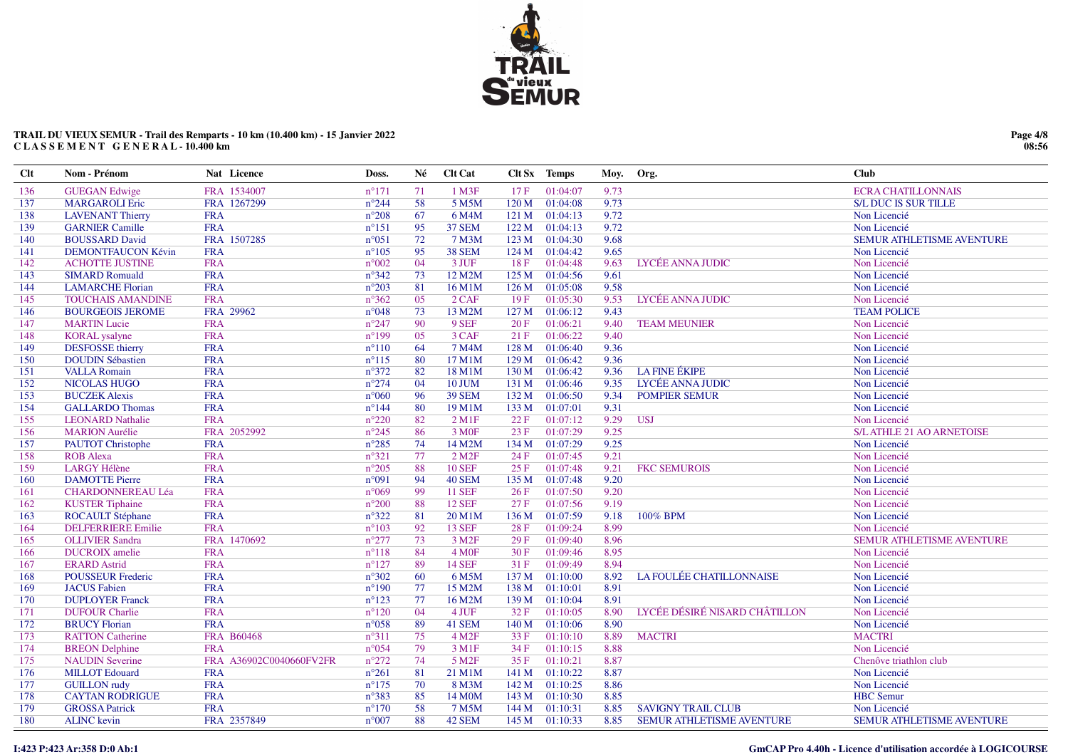

# TRAIL DU VIEUX SEMUR - Trail des Remparts - 10 km (10.400 km) - 15 Janvier 2022 CLASSEMENT GENERAL - 10.400 km

| <b>Clt</b> | Nom - Prénom              | Nat Licence             | Doss.          | Né  | <b>Clt Cat</b>         |       | Clt Sx Temps   | Moy. | Org.                             | <b>Club</b>                      |
|------------|---------------------------|-------------------------|----------------|-----|------------------------|-------|----------------|------|----------------------------------|----------------------------------|
| 136        | <b>GUEGAN Edwige</b>      | FRA 1534007             | $n^{\circ}171$ | 71  | 1 M3F                  | 17F   | 01:04:07       | 9.73 |                                  | <b>ECRA CHATILLONNAIS</b>        |
| 137        | <b>MARGAROLI Eric</b>     | FRA 1267299             | $n^{\circ}244$ | 58  | 5 M5M                  | 120 M | 01:04:08       | 9.73 |                                  | <b>S/L DUC IS SUR TILLE</b>      |
| 138        | <b>LAVENANT Thierry</b>   | <b>FRA</b>              | $n^{\circ}208$ | 67  | 6 M4M                  | 121 M | 01:04:13       | 9.72 |                                  | Non Licencié                     |
| 139        | <b>GARNIER Camille</b>    | <b>FRA</b>              | $n^{\circ}151$ | 95  | 37 SEM                 |       | 122 M 01:04:13 | 9.72 |                                  | Non Licencié                     |
| 140        | <b>BOUSSARD David</b>     | FRA 1507285             | $n^{\circ}051$ | 72  | 7 M3M                  | 123 M | 01:04:30       | 9.68 |                                  | <b>SEMUR ATHLETISME AVENTURE</b> |
| 141        | <b>DEMONTFAUCON Kévin</b> | <b>FRA</b>              | $n^{\circ}105$ | 95  | <b>38 SEM</b>          | 124 M | 01:04:42       | 9.65 |                                  | Non Licencié                     |
| 142        | <b>ACHOTTE JUSTINE</b>    | <b>FRA</b>              | $n^{\circ}002$ | 04  | 3 JUF                  | 18F   | 01:04:48       | 9.63 | LYCÉE ANNA JUDIC                 | Non Licencié                     |
| 143        | <b>SIMARD Romuald</b>     | <b>FRA</b>              | $n^{\circ}342$ | 73  | 12 M2M                 | 125 M | 01:04:56       | 9.61 |                                  | Non Licencié                     |
| 144        | <b>LAMARCHE Florian</b>   | <b>FRA</b>              | $n^{\circ}203$ | 81  | 16 M1M                 | 126 M | 01:05:08       | 9.58 |                                  | Non Licencié                     |
| 145        | <b>TOUCHAIS AMANDINE</b>  | <b>FRA</b>              | $n^{\circ}362$ | 05  | $2$ CAF                | 19F   | 01:05:30       | 9.53 | LYCÉE ANNA JUDIC                 | Non Licencié                     |
| 146        | <b>BOURGEOIS JEROME</b>   | FRA 29962               | $n^{\circ}048$ | 73  | 13 M2M                 | 127 M | 01:06:12       | 9.43 |                                  | <b>TEAM POLICE</b>               |
| 147        | <b>MARTIN Lucie</b>       | <b>FRA</b>              | $n^{\circ}247$ | 90  | 9 SEF                  | 20F   | 01:06:21       | 9.40 | <b>TEAM MEUNIER</b>              | Non Licencié                     |
| 148        | <b>KORAL</b> ysalyne      | <b>FRA</b>              | $n^{\circ}199$ | 05  | 3 CAF                  | 21F   | 01:06:22       | 9.40 |                                  | Non Licencié                     |
| 149        | <b>DESFOSSE</b> thierry   | <b>FRA</b>              | $n^{\circ}110$ | 64  | 7 M4M                  | 128 M | 01:06:40       | 9.36 |                                  | Non Licencié                     |
| 150        | <b>DOUDIN Sébastien</b>   | <b>FRA</b>              | $n^{\circ}115$ | 80  | 17 M1M                 | 129M  | 01:06:42       | 9.36 |                                  | Non Licencié                     |
| 151        | <b>VALLA Romain</b>       | <b>FRA</b>              | $n^{\circ}372$ | 82  | 18 M1M                 | 130 M | 01:06:42       | 9.36 | <b>LA FINE ÉKIPE</b>             | Non Licencié                     |
| 152        | <b>NICOLAS HUGO</b>       | <b>FRA</b>              | $n^{\circ}274$ | 04  | <b>10 JUM</b>          | 131 M | 01:06:46       | 9.35 | LYCÉE ANNA JUDIC                 | Non Licencié                     |
| 153        | <b>BUCZEK Alexis</b>      | <b>FRA</b>              | $n^{\circ}060$ | 96  | <b>39 SEM</b>          | 132 M | 01:06:50       | 9.34 | <b>POMPIER SEMUR</b>             | Non Licencié                     |
| 154        | <b>GALLARDO</b> Thomas    | <b>FRA</b>              | $n^{\circ}144$ | 80  | 19 M1M                 | 133 M | 01:07:01       | 9.31 |                                  | Non Licencié                     |
| 155        | <b>LEONARD Nathalie</b>   | <b>FRA</b>              | $n^{\circ}220$ | 82  | $2$ M <sub>1</sub> F   | 22 F  | 01:07:12       | 9.29 | <b>USJ</b>                       | Non Licencié                     |
| 156        | <b>MARION</b> Aurélie     | FRA 2052992             | $n^{\circ}245$ | 86  | 3 M <sub>OF</sub>      | 23 F  | 01:07:29       | 9.25 |                                  | <b>S/L ATHLE 21 AO ARNETOISE</b> |
| 157        | <b>PAUTOT</b> Christophe  | <b>FRA</b>              | $n^{\circ}285$ | 74  | 14 M2M                 | 134 M | 01:07:29       | 9.25 |                                  | Non Licencié                     |
| 158        | <b>ROB</b> Alexa          | <b>FRA</b>              | $n^{\circ}321$ | 77  | $2$ M <sub>2</sub> $F$ | 24F   | 01:07:45       | 9.21 |                                  | Non Licencié                     |
| 159        | <b>LARGY Hélène</b>       | <b>FRA</b>              | $n^{\circ}205$ | 88  | <b>10 SEF</b>          | 25F   | 01:07:48       | 9.21 | <b>FKC SEMUROIS</b>              | Non Licencié                     |
| 160        | <b>DAMOTTE Pierre</b>     | <b>FRA</b>              | n°091          | 94  | 40 SEM                 | 135 M | 01:07:48       | 9.20 |                                  | Non Licencié                     |
| 161        | <b>CHARDONNEREAU Léa</b>  | <b>FRA</b>              | $n^{\circ}069$ | -99 | <b>11 SEF</b>          | 26F   | 01:07:50       | 9.20 |                                  | Non Licencié                     |
| 162        | <b>KUSTER Tiphaine</b>    | <b>FRA</b>              | $n^{\circ}200$ | 88  | <b>12 SEF</b>          | 27F   | 01:07:56       | 9.19 |                                  | Non Licencié                     |
| 163        | <b>ROCAULT Stéphane</b>   | <b>FRA</b>              | $n^{\circ}322$ | 81  | 20 M1M                 | 136 M | 01:07:59       | 9.18 | 100% BPM                         | Non Licencié                     |
| 164        | <b>DELFERRIERE Emilie</b> | <b>FRA</b>              | $n^{\circ}103$ | 92  | <b>13 SEF</b>          | 28 F  | 01:09:24       | 8.99 |                                  | Non Licencié                     |
| 165        | <b>OLLIVIER Sandra</b>    | FRA 1470692             | $n^{\circ}277$ | 73  | 3 M <sub>2F</sub>      | 29F   | 01:09:40       | 8.96 |                                  | <b>SEMUR ATHLETISME AVENTURE</b> |
| 166        | <b>DUCROIX</b> amelie     | <b>FRA</b>              | $n^{\circ}118$ | 84  | 4 M <sub>OF</sub>      | 30 F  | 01:09:46       | 8.95 |                                  | Non Licencié                     |
| 167        | <b>ERARD</b> Astrid       | <b>FRA</b>              | $n^{\circ}127$ | 89  | <b>14 SEF</b>          | 31 F  | 01:09:49       | 8.94 |                                  | Non Licencié                     |
| 168        | <b>POUSSEUR Frederic</b>  | <b>FRA</b>              | $n^{\circ}302$ | 60  | 6 M5M                  | 137 M | 01:10:00       | 8.92 | LA FOULÉE CHATILLONNAISE         | Non Licencié                     |
| 169        | <b>JACUS</b> Fabien       | <b>FRA</b>              | $n^{\circ}190$ | 77  | 15 M2M                 | 138 M | 01:10:01       | 8.91 |                                  | Non Licencié                     |
| 170        | <b>DUPLOYER Franck</b>    | <b>FRA</b>              | $n^{\circ}123$ | 77  | 16 M2M                 | 139 M | 01:10:04       | 8.91 |                                  | Non Licencié                     |
| 171        | <b>DUFOUR Charlie</b>     | <b>FRA</b>              | $n^{\circ}120$ | 04  | 4 JUF                  | 32 F  | 01:10:05       | 8.90 | LYCÉE DÉSIRÉ NISARD CHÂTILLON    | Non Licencié                     |
| 172        | <b>BRUCY Florian</b>      | <b>FRA</b>              | $n^{\circ}058$ | 89  | 41 SEM                 | 140 M | 01:10:06       | 8.90 |                                  | Non Licencié                     |
| 173        | <b>RATTON Catherine</b>   | <b>FRA B60468</b>       | $n^{\circ}311$ | 75  | 4 M2F                  | 33 F  | 01:10:10       | 8.89 | <b>MACTRI</b>                    | <b>MACTRI</b>                    |
| 174        | <b>BREON Delphine</b>     | <b>FRA</b>              | $n^{\circ}054$ | 79  | 3 M1F                  | 34 F  | 01:10:15       | 8.88 |                                  | Non Licencié                     |
| 175        | <b>NAUDIN Severine</b>    | FRA A36902C0040660FV2FR | $n^{\circ}272$ | 74  | $5$ M <sub>2</sub> $F$ | 35 F  | 01:10:21       | 8.87 |                                  | Chenôve triathlon club           |
| 176        | <b>MILLOT</b> Edouard     | <b>FRA</b>              | $n^{\circ}261$ | 81  | 21 M1M                 | 141 M | 01:10:22       | 8.87 |                                  | Non Licencié                     |
| 177        | <b>GUILLON</b> rudy       | <b>FRA</b>              | $n^{\circ}175$ | 70  | 8 M3M                  | 142 M | 01:10:25       | 8.86 |                                  | Non Licencié                     |
| 178        | <b>CAYTAN RODRIGUE</b>    | <b>FRA</b>              | $n^{\circ}383$ | 85  | 14 M <sub>0</sub> M    | 143 M | 01:10:30       | 8.85 |                                  | <b>HBC</b> Semur                 |
| 179        | <b>GROSSA Patrick</b>     | <b>FRA</b>              | $n^{\circ}170$ | 58  | 7 M5M                  | 144 M | 01:10:31       | 8.85 | <b>SAVIGNY TRAIL CLUB</b>        | Non Licencié                     |
| 180        | <b>ALINC</b> kevin        | FRA 2357849             | $n^{\circ}007$ | 88  | 42 SEM                 |       | 145 M 01:10:33 | 8.85 | <b>SEMUR ATHLETISME AVENTURE</b> | <b>SEMUR ATHLETISME AVENTURE</b> |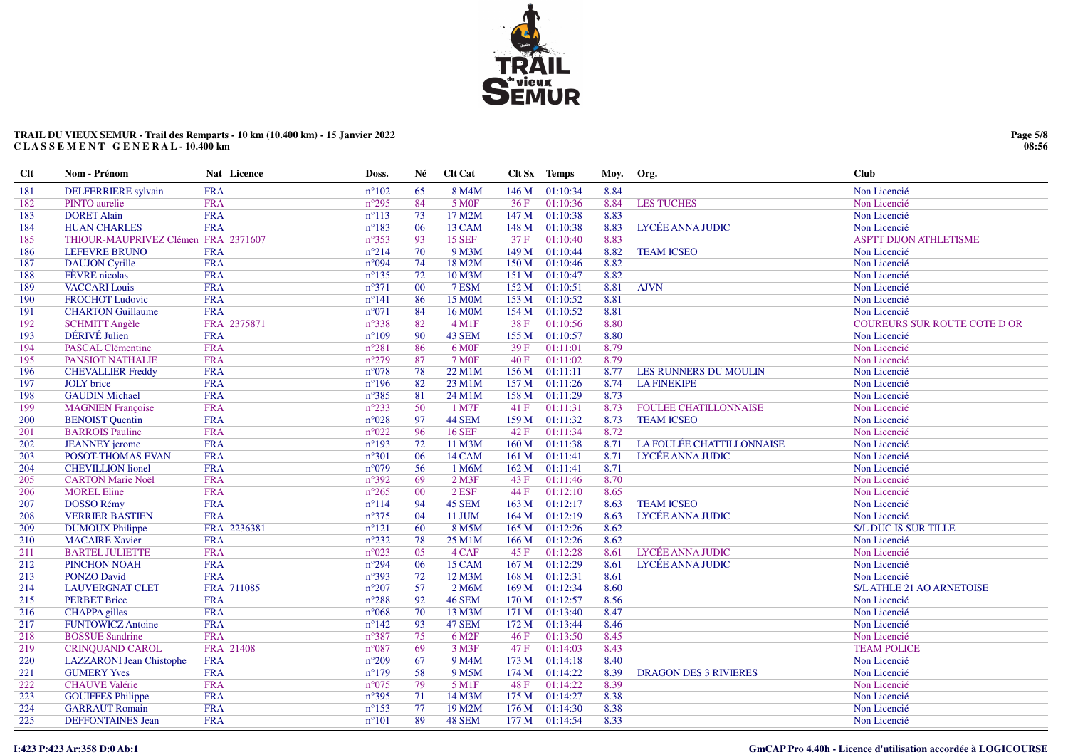

# TRAIL DU VIEUX SEMUR - Trail des Remparts - 10 km (10.400 km) - 15 Janvier 2022 CLASSEMENT GENERAL - 10.400 km

| Clt | Nom - Prénom                        | Nat Licence | Doss.           | Né     | <b>Clt Cat</b>     |       | Clt Sx Temps   | Moy. | Org.                         | <b>Club</b>                         |
|-----|-------------------------------------|-------------|-----------------|--------|--------------------|-------|----------------|------|------------------------------|-------------------------------------|
| 181 | <b>DELFERRIERE</b> sylvain          | <b>FRA</b>  | $n^{\circ}102$  | 65     | 8 M4M              | 146 M | 01:10:34       | 8.84 |                              | Non Licencié                        |
| 182 | PINTO aurelie                       | <b>FRA</b>  | $n^{\circ}295$  | 84     | 5 M <sub>OF</sub>  | 36F   | 01:10:36       | 8.84 | <b>LES TUCHES</b>            | Non Licencié                        |
| 183 | <b>DORET Alain</b>                  | <b>FRA</b>  | $n^{\circ}113$  | 73     | 17 M2M             | 147 M | 01:10:38       | 8.83 |                              | Non Licencié                        |
| 184 | <b>HUAN CHARLES</b>                 | <b>FRA</b>  | $n^{\circ}183$  | 06     | 13 CAM             | 148 M | 01:10:38       | 8.83 | LYCÉE ANNA JUDIC             | Non Licencié                        |
| 185 | THIOUR-MAUPRIVEZ Clémen FRA 2371607 |             | $n^{\circ}353$  | 93     | <b>15 SEF</b>      | 37 F  | 01:10:40       | 8.83 |                              | <b>ASPTT DIJON ATHLETISME</b>       |
| 186 | <b>LEFEVRE BRUNO</b>                | <b>FRA</b>  | $n^{\circ}214$  | 70     | 9 M3M              | 149 M | 01:10:44       | 8.82 | <b>TEAM ICSEO</b>            | Non Licencié                        |
| 187 | <b>DAUJON</b> Cyrille               | <b>FRA</b>  | $n^{\circ}094$  | 74     | 18 M2M             | 150 M | 01:10:46       | 8.82 |                              | Non Licencié                        |
| 188 | FÈVRE nicolas                       | <b>FRA</b>  | $n^{\circ}$ 135 | 72     | 10 M3M             |       | 151 M 01:10:47 | 8.82 |                              | Non Licencié                        |
| 189 | <b>VACCARI Louis</b>                | <b>FRA</b>  | $n^{\circ}371$  | 00     | 7 ESM              |       | 152 M 01:10:51 | 8.81 | <b>AJVN</b>                  | Non Licencié                        |
| 190 | <b>FROCHOT Ludovic</b>              | <b>FRA</b>  | $n^{\circ}141$  | 86     | 15 M0M             |       | 153 M 01:10:52 | 8.81 |                              | Non Licencié                        |
| 191 | <b>CHARTON Guillaume</b>            | <b>FRA</b>  | $n^{\circ}071$  | 84     | 16 M0M             | 154 M | 01:10:52       | 8.81 |                              | Non Licencié                        |
| 192 | <b>SCHMITT Angèle</b>               | FRA 2375871 | $n^{\circ}338$  | 82     | $4 \,\mathrm{M1F}$ | 38 F  | 01:10:56       | 8.80 |                              | <b>COUREURS SUR ROUTE COTE D OR</b> |
| 193 | DÉRIVÉ Julien                       | <b>FRA</b>  | $n^{\circ}109$  | 90     | 43 SEM             | 155 M | 01:10:57       | 8.80 |                              | Non Licencié                        |
| 194 | <b>PASCAL Clémentine</b>            | <b>FRA</b>  | $n^{\circ}281$  | 86     | 6 M <sub>OF</sub>  | 39F   | 01:11:01       | 8.79 |                              | Non Licencié                        |
| 195 | <b>PANSIOT NATHALIE</b>             | <b>FRA</b>  | $n^{\circ}279$  | 87     | <b>7 MOF</b>       | 40 F  | 01:11:02       | 8.79 |                              | Non Licencié                        |
| 196 | <b>CHEVALLIER Freddy</b>            | <b>FRA</b>  | $n^{\circ}078$  | 78     | 22 M1M             | 156 M | 01:11:11       | 8.77 | LES RUNNERS DU MOULIN        | Non Licencié                        |
| 197 | <b>JOLY</b> brice                   | <b>FRA</b>  | $n^{\circ}196$  | 82     | 23 M1M             | 157 M | 01:11:26       | 8.74 | <b>LA FINEKIPE</b>           | Non Licencié                        |
| 198 | <b>GAUDIN Michael</b>               | <b>FRA</b>  | $n^{\circ}385$  | 81     | 24 M1M             |       | 158 M 01:11:29 | 8.73 |                              | Non Licencié                        |
| 199 | <b>MAGNIEN</b> Françoise            | <b>FRA</b>  | $n^{\circ}233$  | 50     | 1 M7F              | 41F   | 01:11:31       | 8.73 | <b>FOULEE CHATILLONNAISE</b> | Non Licencié                        |
| 200 | <b>BENOIST Quentin</b>              | <b>FRA</b>  | $n^{\circ}028$  | 97     | 44 SEM             | 159 M | 01:11:32       | 8.73 | <b>TEAM ICSEO</b>            | Non Licencié                        |
| 201 | <b>BARROIS Pauline</b>              | <b>FRA</b>  | $n^{\circ}022$  | 96     | <b>16 SEF</b>      | 42 F  | 01:11:34       | 8.72 |                              | Non Licencié                        |
| 202 | <b>JEANNEY</b> jerome               | <b>FRA</b>  | $n^{\circ}193$  | 72     | 11 M3M             |       | 160 M 01:11:38 | 8.71 | LA FOULÉE CHATTILLONNAISE    | Non Licencié                        |
| 203 | POSOT-THOMAS EVAN                   | <b>FRA</b>  | $n^{\circ}301$  | 06     | 14 CAM             |       | 161 M 01:11:41 | 8.71 | LYCÉE ANNA JUDIC             | Non Licencié                        |
| 204 | <b>CHEVILLION</b> lionel            | <b>FRA</b>  | $n^{\circ}079$  | 56     | 1 M6M              |       | 162 M 01:11:41 | 8.71 |                              | Non Licencié                        |
| 205 | <b>CARTON Marie Noël</b>            | <b>FRA</b>  | $n^{\circ}392$  | 69     | $2$ M3F            | 43 F  | 01:11:46       | 8.70 |                              | Non Licencié                        |
| 206 | <b>MOREL Eline</b>                  | <b>FRA</b>  | $n^{\circ}265$  | $00\,$ | $2$ ESF            | 44 F  | 01:12:10       | 8.65 |                              | Non Licencié                        |
| 207 | DOSSO Rémy                          | <b>FRA</b>  | $n^{\circ}114$  | 94     | 45 SEM             |       | 163 M 01:12:17 | 8.63 | <b>TEAM ICSEO</b>            | Non Licencié                        |
| 208 | <b>VERRIER BASTIEN</b>              | <b>FRA</b>  | $n^{\circ}375$  | 04     | 11 JUM             | 164 M | 01:12:19       | 8.63 | LYCÉE ANNA JUDIC             | Non Licencié                        |
| 209 | <b>DUMOUX Philippe</b>              | FRA 2236381 | $n^{\circ}121$  | 60     | 8 M5M              | 165 M | 01:12:26       | 8.62 |                              | S/L DUC IS SUR TILLE                |
| 210 | <b>MACAIRE Xavier</b>               | <b>FRA</b>  | $n^{\circ}232$  | 78     | 25 M1M             | 166 M | 01:12:26       | 8.62 |                              | Non Licencié                        |
| 211 | <b>BARTEL JULIETTE</b>              | <b>FRA</b>  | $n^{\circ}023$  | 05     | 4 CAF              | 45 F  | 01:12:28       | 8.61 | LYCÉE ANNA JUDIC             | Non Licencié                        |
| 212 | PINCHON NOAH                        | <b>FRA</b>  | $n^{\circ}294$  | 06     | 15 CAM             |       | 167 M 01:12:29 | 8.61 | LYCÉE ANNA JUDIC             | Non Licencié                        |
| 213 | <b>PONZO David</b>                  | <b>FRA</b>  | $n^{\circ}393$  | 72     | 12 M3M             | 168 M | 01:12:31       | 8.61 |                              | Non Licencié                        |
| 214 | <b>LAUVERGNAT CLET</b>              | FRA 711085  | $n^{\circ}207$  | 57     | 2 M6M              |       | 169 M 01:12:34 | 8.60 |                              | <b>S/L ATHLE 21 AO ARNETOISE</b>    |
| 215 | <b>PERBET Brice</b>                 | <b>FRA</b>  | $n^{\circ}288$  | 92     | <b>46 SEM</b>      |       | 170 M 01:12:57 | 8.56 |                              | Non Licencié                        |
| 216 | <b>CHAPPA</b> gilles                | <b>FRA</b>  | $n^{\circ}068$  | 70     | 13 M3M             | 171 M | 01:13:40       | 8.47 |                              | Non Licencié                        |
| 217 | <b>FUNTOWICZ Antoine</b>            | <b>FRA</b>  | $n^{\circ}142$  | 93     | <b>47 SEM</b>      | 172 M | 01:13:44       | 8.46 |                              | Non Licencié                        |
| 218 | <b>BOSSUE Sandrine</b>              | <b>FRA</b>  | $n^{\circ}387$  | 75     | 6 M <sub>2F</sub>  | 46 F  | 01:13:50       | 8.45 |                              | Non Licencié                        |
| 219 | <b>CRINQUAND CAROL</b>              | FRA 21408   | $n^{\circ}087$  | 69     | 3 M3F              | 47 F  | 01:14:03       | 8.43 |                              | <b>TEAM POLICE</b>                  |
| 220 | <b>LAZZARONI</b> Jean Chistophe     | <b>FRA</b>  | $n^{\circ}209$  | 67     | 9 M4M              | 173 M | 01:14:18       | 8.40 |                              | Non Licencié                        |
| 221 | <b>GUMERY Yves</b>                  | <b>FRA</b>  | $n^{\circ}179$  | 58     | 9 M5M              | 174 M | 01:14:22       | 8.39 | <b>DRAGON DES 3 RIVIERES</b> | Non Licencié                        |
| 222 | <b>CHAUVE Valérie</b>               | <b>FRA</b>  | $n^{\circ}075$  | 79     | 5 M1F              | 48 F  | 01:14:22       | 8.39 |                              | Non Licencié                        |
| 223 | <b>GOUIFFES Philippe</b>            | <b>FRA</b>  | $n^{\circ}395$  | 71     | 14 M3M             | 175 M | 01:14:27       | 8.38 |                              | Non Licencié                        |
| 224 | <b>GARRAUT Romain</b>               | <b>FRA</b>  | $n^{\circ}153$  | 77     | 19 M2M             | 176 M | 01:14:30       | 8.38 |                              | Non Licencié                        |
| 225 | <b>DEFFONTAINES Jean</b>            | <b>FRA</b>  | $n^{\circ}101$  | 89     | 48 SEM             |       | 177 M 01:14:54 | 8.33 |                              | Non Licencié                        |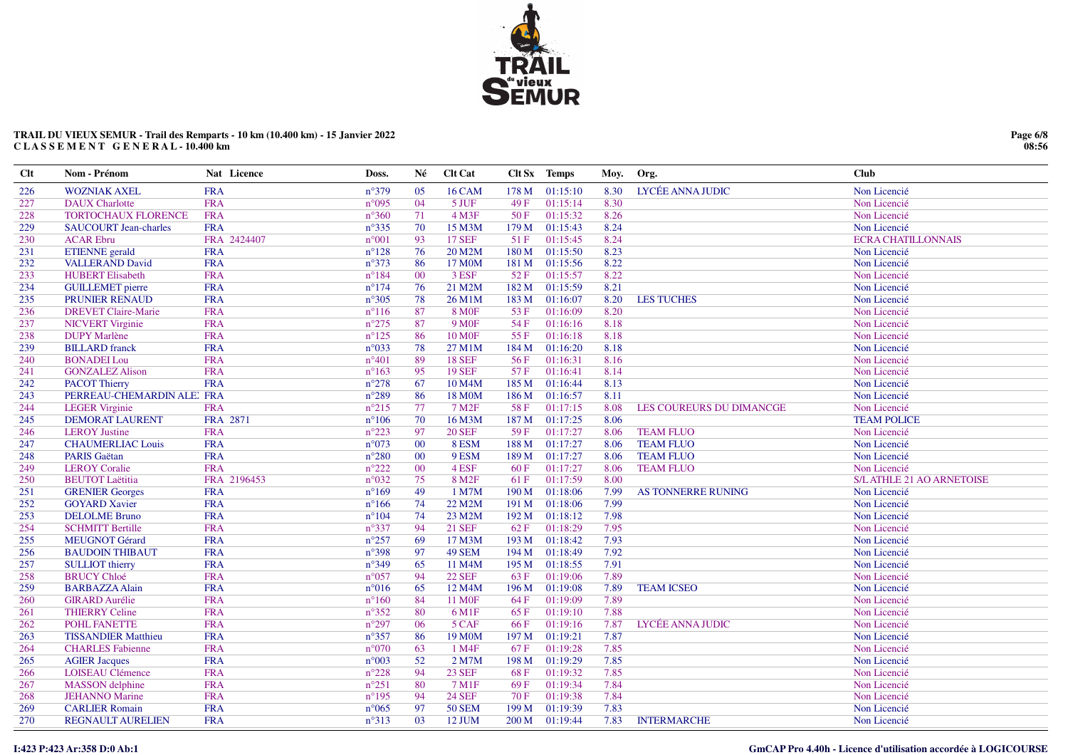

### TRAIL DU VIEUX SEMUR - Trail des Remparts - 10 km (10.400 km) - 15 Janvier 2022<br>CLASSEMENT GENERAL - 10.400 km

| Clt | Nom - Prénom                 | Nat Licence | Doss.          | Né     | <b>Clt</b> Cat      |                  | Clt Sx Temps   | Moy. | Org.                     | <b>Club</b>                      |
|-----|------------------------------|-------------|----------------|--------|---------------------|------------------|----------------|------|--------------------------|----------------------------------|
| 226 | <b>WOZNIAK AXEL</b>          | <b>FRA</b>  | $n^{\circ}379$ | 05     | <b>16 CAM</b>       | 178 M            | 01:15:10       | 8.30 | LYCÉE ANNA JUDIC         | Non Licencié                     |
| 227 | <b>DAUX</b> Charlotte        | <b>FRA</b>  | $n^{\circ}095$ | 04     | 5 JUF               | 49F              | 01:15:14       | 8.30 |                          | Non Licencié                     |
| 228 | TORTOCHAUX FLORENCE          | <b>FRA</b>  | $n^{\circ}360$ | 71     | $4$ M3F             | 50F              | 01:15:32       | 8.26 |                          | Non Licencié                     |
| 229 | <b>SAUCOURT Jean-charles</b> | <b>FRA</b>  | $n^{\circ}335$ | 70     | 15 M3M              |                  | 179 M 01:15:43 | 8.24 |                          | Non Licencié                     |
| 230 | <b>ACAR Ebru</b>             | FRA 2424407 | $n^{\circ}001$ | 93     | <b>17 SEF</b>       | 51F              | 01:15:45       | 8.24 |                          | <b>ECRA CHATILLONNAIS</b>        |
| 231 | <b>ETIENNE</b> gerald        | <b>FRA</b>  | $n^{\circ}128$ | 76     | 20 M2M              | 180 M            | 01:15:50       | 8.23 |                          | Non Licencié                     |
| 232 | <b>VALLERAND David</b>       | <b>FRA</b>  | $n^{\circ}373$ | 86     | 17 M0M              | 181 M            | 01:15:56       | 8.22 |                          | Non Licencié                     |
| 233 | <b>HUBERT Elisabeth</b>      | <b>FRA</b>  | $n^{\circ}184$ | $00\,$ | 3 ESF               | 52F              | 01:15:57       | 8.22 |                          | Non Licencié                     |
| 234 | <b>GUILLEMET</b> pierre      | <b>FRA</b>  | $n^{\circ}174$ | 76     | 21 M2M              | 182 M            | 01:15:59       | 8.21 |                          | Non Licencié                     |
| 235 | PRUNIER RENAUD               | <b>FRA</b>  | $n^{\circ}305$ | 78     | 26 M1M              | 183 M            | 01:16:07       | 8.20 | <b>LES TUCHES</b>        | Non Licencié                     |
| 236 | <b>DREVET Claire-Marie</b>   | <b>FRA</b>  | $n^{\circ}116$ | 87     | <b>8 MOF</b>        | 53 F             | 01:16:09       | 8.20 |                          | Non Licencié                     |
| 237 | <b>NICVERT Virginie</b>      | <b>FRA</b>  | $n^{\circ}275$ | 87     | 9 M <sub>OF</sub>   | 54 F             | 01:16:16       | 8.18 |                          | Non Licencié                     |
| 238 | <b>DUPY</b> Marlène          | <b>FRA</b>  | $n^{\circ}125$ | 86     | <b>10 MOF</b>       | 55 F             | 01:16:18       | 8.18 |                          | Non Licencié                     |
| 239 | <b>BILLARD</b> franck        | <b>FRA</b>  | $n^{\circ}033$ | 78     | 27 M1M              | 184 M            | 01:16:20       | 8.18 |                          | Non Licencié                     |
| 240 | <b>BONADEI</b> Lou           | <b>FRA</b>  | $n^{\circ}401$ | 89     | <b>18 SEF</b>       | 56 F             | 01:16:31       | 8.16 |                          | Non Licencié                     |
| 241 | <b>GONZALEZ Alison</b>       | <b>FRA</b>  | $n^{\circ}163$ | 95     | <b>19 SEF</b>       | 57F              | 01:16:41       | 8.14 |                          | Non Licencié                     |
| 242 | <b>PACOT Thierry</b>         | <b>FRA</b>  | $n^{\circ}278$ | 67     | 10 M <sub>4</sub> M | 185 M            | 01:16:44       | 8.13 |                          | Non Licencié                     |
| 243 | PERREAU-CHEMARDIN ALE: FRA   |             | $n^{\circ}289$ | 86     | 18 M0M              | 186 M            | 01:16:57       | 8.11 |                          | Non Licencié                     |
| 244 | <b>LEGER Virginie</b>        | <b>FRA</b>  | $n^{\circ}215$ | 77     | 7 M <sub>2</sub> F  | 58 F             | 01:17:15       | 8.08 | LES COUREURS DU DIMANCGE | Non Licencié                     |
| 245 | <b>DEMORAT LAURENT</b>       | FRA 2871    | $n^{\circ}106$ | 70     | 16 M3M              |                  | 187 M 01:17:25 | 8.06 |                          | <b>TEAM POLICE</b>               |
| 246 | <b>LEROY</b> Justine         | <b>FRA</b>  | $n^{\circ}223$ | 97     | <b>20 SEF</b>       | 59F              | 01:17:27       | 8.06 | <b>TEAM FLUO</b>         | Non Licencié                     |
| 247 | <b>CHAUMERLIAC Louis</b>     | <b>FRA</b>  | $n^{\circ}073$ | $00\,$ | 8 ESM               | 188 M            | 01:17:27       | 8.06 | <b>TEAM FLUO</b>         | Non Licencié                     |
| 248 | <b>PARIS</b> Gaëtan          | <b>FRA</b>  | $n^{\circ}280$ | $00\,$ | 9 ESM               | 189 <sub>M</sub> | 01:17:27       | 8.06 | <b>TEAM FLUO</b>         | Non Licencié                     |
| 249 | <b>LEROY Coralie</b>         | <b>FRA</b>  | $n^{\circ}222$ | $00\,$ | 4 ESF               | 60 F             | 01:17:27       | 8.06 | <b>TEAM FLUO</b>         | Non Licencié                     |
| 250 | <b>BEUTOT Laëtitia</b>       | FRA 2196453 | $n^{\circ}032$ | 75     | 8 M <sub>2F</sub>   | 61 F             | 01:17:59       | 8.00 |                          | <b>S/L ATHLE 21 AO ARNETOISE</b> |
| 251 | <b>GRENIER Georges</b>       | <b>FRA</b>  | $n^{\circ}169$ | 49     | 1 M7M               | 190 M            | 01:18:06       | 7.99 | AS TONNERRE RUNING       | Non Licencié                     |
| 252 | <b>GOYARD Xavier</b>         | <b>FRA</b>  | $n^{\circ}166$ | 74     | 22 M2M              | 191 M            | 01:18:06       | 7.99 |                          | Non Licencié                     |
| 253 | <b>DELOLME Bruno</b>         | <b>FRA</b>  | $n^{\circ}104$ | 74     | 23 M2M              | 192 M            | 01:18:12       | 7.98 |                          | Non Licencié                     |
| 254 | <b>SCHMITT Bertille</b>      | <b>FRA</b>  | $n^{\circ}337$ | 94     | <b>21 SEF</b>       | 62 F             | 01:18:29       | 7.95 |                          | Non Licencié                     |
| 255 | <b>MEUGNOT Gérard</b>        | <b>FRA</b>  | $n^{\circ}257$ | 69     | 17 M3M              | 193 M            | 01:18:42       | 7.93 |                          | Non Licencié                     |
| 256 | <b>BAUDOIN THIBAUT</b>       | <b>FRA</b>  | $n^{\circ}398$ | 97     | 49 SEM              | 194 M            | 01:18:49       | 7.92 |                          | Non Licencié                     |
| 257 | <b>SULLIOT</b> thierry       | <b>FRA</b>  | $n^{\circ}349$ | 65     | 11 M4M              | 195 M            | 01:18:55       | 7.91 |                          | Non Licencié                     |
| 258 | <b>BRUCY Chloé</b>           | <b>FRA</b>  | $n^{\circ}057$ | 94     | <b>22 SEF</b>       | 63 F             | 01:19:06       | 7.89 |                          | Non Licencié                     |
| 259 | <b>BARBAZZA Alain</b>        | <b>FRA</b>  | $n^{\circ}016$ | 65     | 12 M4M              | 196 M            | 01:19:08       | 7.89 | <b>TEAM ICSEO</b>        | Non Licencié                     |
| 260 | <b>GIRARD Aurélie</b>        | <b>FRA</b>  | $n^{\circ}160$ | 84     | <b>11 MOF</b>       | 64 F             | 01:19:09       | 7.89 |                          | Non Licencié                     |
| 261 | <b>THIERRY Celine</b>        | <b>FRA</b>  | $n^{\circ}352$ | 80     | 6 M1F               | 65 F             | 01:19:10       | 7.88 |                          | Non Licencié                     |
| 262 | POHL FANETTE                 | <b>FRA</b>  | $n^{\circ}297$ | 06     | 5 CAF               | 66 F             | 01:19:16       | 7.87 | LYCÉE ANNA JUDIC         | Non Licencié                     |
| 263 | <b>TISSANDIER Matthieu</b>   | <b>FRA</b>  | $n^{\circ}357$ | 86     | 19 M <sub>0</sub> M |                  | 197 M 01:19:21 | 7.87 |                          | Non Licencié                     |
| 264 | <b>CHARLES</b> Fabienne      | <b>FRA</b>  | $n^{\circ}070$ | 63     | 1 M4F               | 67F              | 01:19:28       | 7.85 |                          | Non Licencié                     |
| 265 | <b>AGIER Jacques</b>         | <b>FRA</b>  | $n^{\circ}003$ | 52     | 2 M7M               | 198 M            | 01:19:29       | 7.85 |                          | Non Licencié                     |
| 266 | <b>LOISEAU Clémence</b>      | <b>FRA</b>  | $n^{\circ}228$ | 94     | <b>23 SEF</b>       | 68 F             | 01:19:32       | 7.85 |                          | Non Licencié                     |
| 267 | <b>MASSON</b> delphine       | <b>FRA</b>  | $n^{\circ}251$ | 80     | 7 M1F               | 69F              | 01:19:34       | 7.84 |                          | Non Licencié                     |
| 268 | <b>JEHANNO</b> Marine        | <b>FRA</b>  | $n^{\circ}195$ | 94     | <b>24 SEF</b>       | 70 F             | 01:19:38       | 7.84 |                          | Non Licencié                     |
| 269 | <b>CARLIER Romain</b>        | <b>FRA</b>  | $n^{\circ}065$ | 97     | <b>50 SEM</b>       | 199 M            | 01:19:39       | 7.83 |                          | Non Licencié                     |
| 270 | <b>REGNAULT AURELIEN</b>     | <b>FRA</b>  | $n^{\circ}313$ | 03     | 12 JUM              | 200 M            | 01:19:44       | 7.83 | <b>INTERMARCHE</b>       | Non Licencié                     |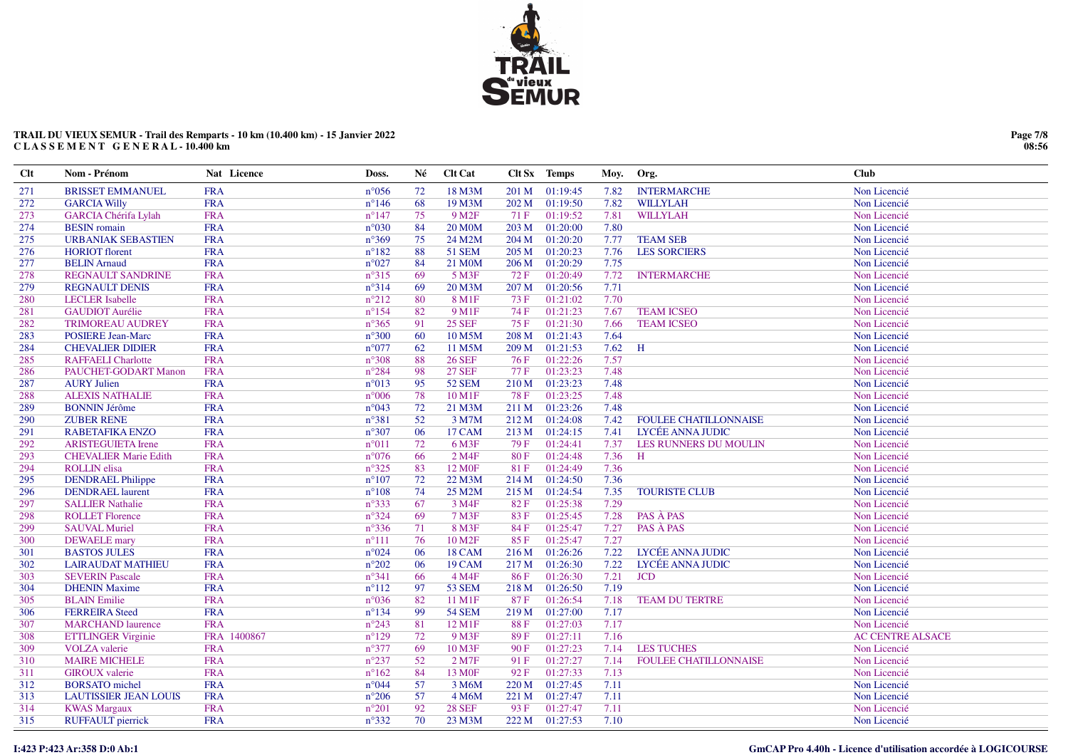

### TRAIL DU VIEUX SEMUR - Trail des Remparts - 10 km (10.400 km) - 15 Janvier 2022<br>CLASSEMENT GENERAL - 10.400 km

| <b>Clt</b> | Nom - Prénom                 | Nat Licence | Doss.          | Né | <b>Clt Cat</b>      |       | Clt Sx Temps   | Moy. | Org.                         | <b>Club</b>             |
|------------|------------------------------|-------------|----------------|----|---------------------|-------|----------------|------|------------------------------|-------------------------|
| 271        | <b>BRISSET EMMANUEL</b>      | <b>FRA</b>  | $n^{\circ}056$ | 72 | 18 M3M              | 201 M | 01:19:45       | 7.82 | <b>INTERMARCHE</b>           | Non Licencié            |
| 272        | <b>GARCIA Willy</b>          | <b>FRA</b>  | $n^{\circ}146$ | 68 | 19 M3M              | 202 M | 01:19:50       | 7.82 | <b>WILLYLAH</b>              | Non Licencié            |
| 273        | <b>GARCIA Chérifa Lylah</b>  | <b>FRA</b>  | $n^{\circ}147$ | 75 | 9 M <sub>2</sub> F  | 71 F  | 01:19:52       | 7.81 | <b>WILLYLAH</b>              | Non Licencié            |
| 274        | <b>BESIN</b> romain          | <b>FRA</b>  | $n^{\circ}030$ | 84 | <b>20 M0M</b>       | 203 M | 01:20:00       | 7.80 |                              | Non Licencié            |
| 275        | <b>URBANIAK SEBASTIEN</b>    | <b>FRA</b>  | $n^{\circ}369$ | 75 | 24 M2M              | 204 M | 01:20:20       | 7.77 | <b>TEAM SEB</b>              | Non Licencié            |
| 276        | <b>HORIOT</b> florent        | <b>FRA</b>  | $n^{\circ}182$ | 88 | 51 SEM              | 205 M | 01:20:23       | 7.76 | <b>LES SORCIERS</b>          | Non Licencié            |
| 277        | <b>BELIN</b> Arnaud          | <b>FRA</b>  | $n^{\circ}027$ | 84 | 21 M <sub>0</sub> M | 206 M | 01:20:29       | 7.75 |                              | Non Licencié            |
| 278        | <b>REGNAULT SANDRINE</b>     | <b>FRA</b>  | $n^{\circ}315$ | 69 | 5 M3F               | 72 F  | 01:20:49       | 7.72 | <b>INTERMARCHE</b>           | Non Licencié            |
| 279        | <b>REGNAULT DENIS</b>        | <b>FRA</b>  | $n^{\circ}314$ | 69 | 20 M3M              | 207 M | 01:20:56       | 7.71 |                              | Non Licencié            |
| 280        | <b>LECLER</b> Isabelle       | <b>FRA</b>  | $n^{\circ}212$ | 80 | 8 M1F               | 73 F  | 01:21:02       | 7.70 |                              | Non Licencié            |
| 281        | <b>GAUDIOT</b> Aurélie       | <b>FRA</b>  | $n^{\circ}154$ | 82 | 9 M1F               | 74 F  | 01:21:23       | 7.67 | <b>TEAM ICSEO</b>            | Non Licencié            |
| 282        | <b>TRIMOREAU AUDREY</b>      | <b>FRA</b>  | $n^{\circ}365$ | 91 | <b>25 SEF</b>       | 75 F  | 01:21:30       | 7.66 | <b>TEAM ICSEO</b>            | Non Licencié            |
| 283        | <b>POSIERE Jean-Marc</b>     | <b>FRA</b>  | $n^{\circ}300$ | 60 | 10 M5M              | 208 M | 01:21:43       | 7.64 |                              | Non Licencié            |
| 284        | <b>CHEVALIER DIDIER</b>      | <b>FRA</b>  | $n^{\circ}077$ | 62 | 11 M5M              |       | 209 M 01:21:53 | 7.62 | H                            | Non Licencié            |
| 285        | <b>RAFFAELI Charlotte</b>    | <b>FRA</b>  | $n^{\circ}308$ | 88 | <b>26 SEF</b>       | 76 F  | 01:22:26       | 7.57 |                              | Non Licencié            |
| 286        | PAUCHET-GODART Manon         | <b>FRA</b>  | $n^{\circ}284$ | 98 | <b>27 SEF</b>       | 77 F  | 01:23:23       | 7.48 |                              | Non Licencié            |
| 287        | <b>AURY Julien</b>           | <b>FRA</b>  | $n^{\circ}013$ | 95 | <b>52 SEM</b>       | 210 M | 01:23:23       | 7.48 |                              | Non Licencié            |
| 288        | <b>ALEXIS NATHALIE</b>       | <b>FRA</b>  | $n^{\circ}006$ | 78 | 10 M1F              | 78 F  | 01:23:25       | 7.48 |                              | Non Licencié            |
| 289        | <b>BONNIN Jérôme</b>         | <b>FRA</b>  | $n^{\circ}043$ | 72 | 21 M3M              | 211 M | 01:23:26       | 7.48 |                              | Non Licencié            |
| 290        | <b>ZUBER RENE</b>            | <b>FRA</b>  | $n^{\circ}381$ | 52 | 3 M7M               | 212 M | 01:24:08       | 7.42 | FOULEE CHATILLONNAISE        | Non Licencié            |
| 291        | <b>RABETAFIKA ENZO</b>       | <b>FRA</b>  | $n^{\circ}307$ | 06 | <b>17 CAM</b>       | 213 M | 01:24:15       | 7.41 | LYCÉE ANNA JUDIC             | Non Licencié            |
| 292        | <b>ARISTEGUIETA Irene</b>    | <b>FRA</b>  | $n^{\circ}011$ | 72 | 6 M3F               | 79 F  | 01:24:41       | 7.37 | LES RUNNERS DU MOULIN        | Non Licencié            |
| 293        | <b>CHEVALIER Marie Edith</b> | <b>FRA</b>  | $n^{\circ}076$ | 66 | 2 M4F               | 80F   | 01:24:48       | 7.36 | H                            | Non Licencié            |
| 294        | <b>ROLLIN</b> elisa          | <b>FRA</b>  | $n^{\circ}325$ | 83 | 12 M <sub>OF</sub>  | 81 F  | 01:24:49       | 7.36 |                              | Non Licencié            |
| 295        | <b>DENDRAEL Philippe</b>     | <b>FRA</b>  | $n^{\circ}107$ | 72 | 22 M3M              |       | 214 M 01:24:50 | 7.36 |                              | Non Licencié            |
| 296        | <b>DENDRAEL</b> laurent      | <b>FRA</b>  | $n^{\circ}108$ | 74 | 25 M2M              | 215 M | 01:24:54       | 7.35 | <b>TOURISTE CLUB</b>         | Non Licencié            |
| 297        | <b>SALLIER Nathalie</b>      | <b>FRA</b>  | $n^{\circ}333$ | 67 | 3 M4F               | 82 F  | 01:25:38       | 7.29 |                              | Non Licencié            |
| 298        | <b>ROLLET Florence</b>       | <b>FRA</b>  | $n^{\circ}324$ | 69 | 7 M3F               | 83F   | 01:25:45       | 7.28 | PAS À PAS                    | Non Licencié            |
| 299        | <b>SAUVAL Muriel</b>         | <b>FRA</b>  | $n^{\circ}336$ | 71 | 8 M3F               | 84 F  | 01:25:47       | 7.27 | PAS À PAS                    | Non Licencié            |
| 300        | <b>DEWAELE</b> mary          | <b>FRA</b>  | $n^{\circ}111$ | 76 | 10 M <sub>2F</sub>  | 85F   | 01:25:47       | 7.27 |                              | Non Licencié            |
| 301        | <b>BASTOS JULES</b>          | <b>FRA</b>  | $n^{\circ}024$ | 06 | <b>18 CAM</b>       | 216M  | 01:26:26       | 7.22 | LYCÉE ANNA JUDIC             | Non Licencié            |
| 302        | <b>LAIRAUDAT MATHIEU</b>     | <b>FRA</b>  | $n^{\circ}202$ | 06 | <b>19 CAM</b>       | 217 M | 01:26:30       | 7.22 | LYCÉE ANNA JUDIC             | Non Licencié            |
| 303        | <b>SEVERIN Pascale</b>       | <b>FRA</b>  | $n^{\circ}341$ | 66 | 4 M4F               | 86 F  | 01:26:30       | 7.21 | <b>JCD</b>                   | Non Licencié            |
| 304        | <b>DHENIN Maxime</b>         | <b>FRA</b>  | $n^{\circ}112$ | 97 | 53 SEM              | 218 M | 01:26:50       | 7.19 |                              | Non Licencié            |
| 305        | <b>BLAIN</b> Emilie          | <b>FRA</b>  | $n^{\circ}036$ | 82 | 11 M1F              | 87 F  | 01:26:54       | 7.18 | <b>TEAM DU TERTRE</b>        | Non Licencié            |
| 306        | <b>FERREIRA</b> Steed        | <b>FRA</b>  | $n^{\circ}134$ | 99 | <b>54 SEM</b>       | 219M  | 01:27:00       | 7.17 |                              | Non Licencié            |
| 307        | <b>MARCHAND</b> laurence     | <b>FRA</b>  | $n^{\circ}243$ | 81 | 12 M1F              | 88 F  | 01:27:03       | 7.17 |                              | Non Licencié            |
| 308        | <b>ETTLINGER Virginie</b>    | FRA 1400867 | $n^{\circ}129$ | 72 | 9 M3F               | 89F   | 01:27:11       | 7.16 |                              | <b>AC CENTRE ALSACE</b> |
| 309        | <b>VOLZA</b> valerie         | <b>FRA</b>  | $n^{\circ}377$ | 69 | 10 M3F              | 90F   | 01:27:23       | 7.14 | <b>LES TUCHES</b>            | Non Licencié            |
| 310        | <b>MAIRE MICHELE</b>         | <b>FRA</b>  | $n^{\circ}237$ | 52 | 2 M7F               | 91 F  | 01:27:27       | 7.14 | <b>FOULEE CHATILLONNAISE</b> | Non Licencié            |
| 311        | <b>GIROUX</b> valerie        | <b>FRA</b>  | $n^{\circ}162$ | 84 | 13 M <sub>OF</sub>  | 92 F  | 01:27:33       | 7.13 |                              | Non Licencié            |
| 312        | <b>BORSATO</b> michel        | <b>FRA</b>  | $n^{\circ}044$ | 57 | 3 M6M               | 220 M | 01:27:45       | 7.11 |                              | Non Licencié            |
| 313        | <b>LAUTISSIER JEAN LOUIS</b> | <b>FRA</b>  | $n^{\circ}206$ | 57 | 4 M6M               |       | 221 M 01:27:47 | 7.11 |                              | Non Licencié            |
| 314        | <b>KWAS Margaux</b>          | <b>FRA</b>  | $n^{\circ}201$ | 92 | <b>28 SEF</b>       | 93 F  | 01:27:47       | 7.11 |                              | Non Licencié            |
| 315        | <b>RUFFAULT</b> pierrick     | <b>FRA</b>  | $n^{\circ}332$ | 70 | 23 M3M              |       | 222 M 01:27:53 | 7.10 |                              | Non Licencié            |